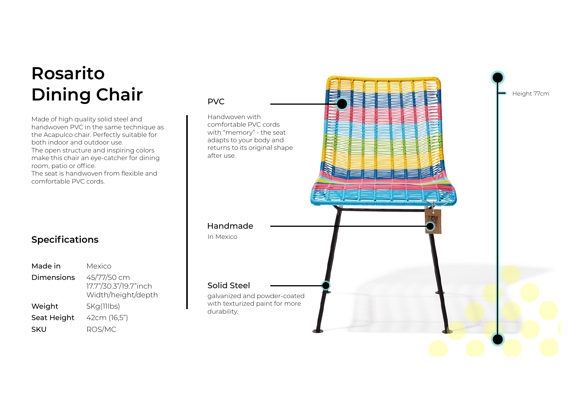# **Rosarito Dining Chair** PVC

Made of high quality solid steel and handwoven PVC in the same technique as the Acapulco chair. Perfectly suitable for both indoor and outdoor use. The open structure and inspiring colors make this chair an eye-catcher for dining room, patio or office. The seat is handwoven from flexible and comfortable PVC cords.

#### **Specifications**

| Made in           | Mexico                                                     |
|-------------------|------------------------------------------------------------|
| <b>Dimensions</b> | 45/77/50 cm<br>17.7"/30.3"/19.7"inch<br>Width/height/depth |
| Weight            | 5Kg(11lbs)                                                 |
| Seat Height       | 42cm (16,5")                                               |
| SKU               | ROS/MC                                                     |